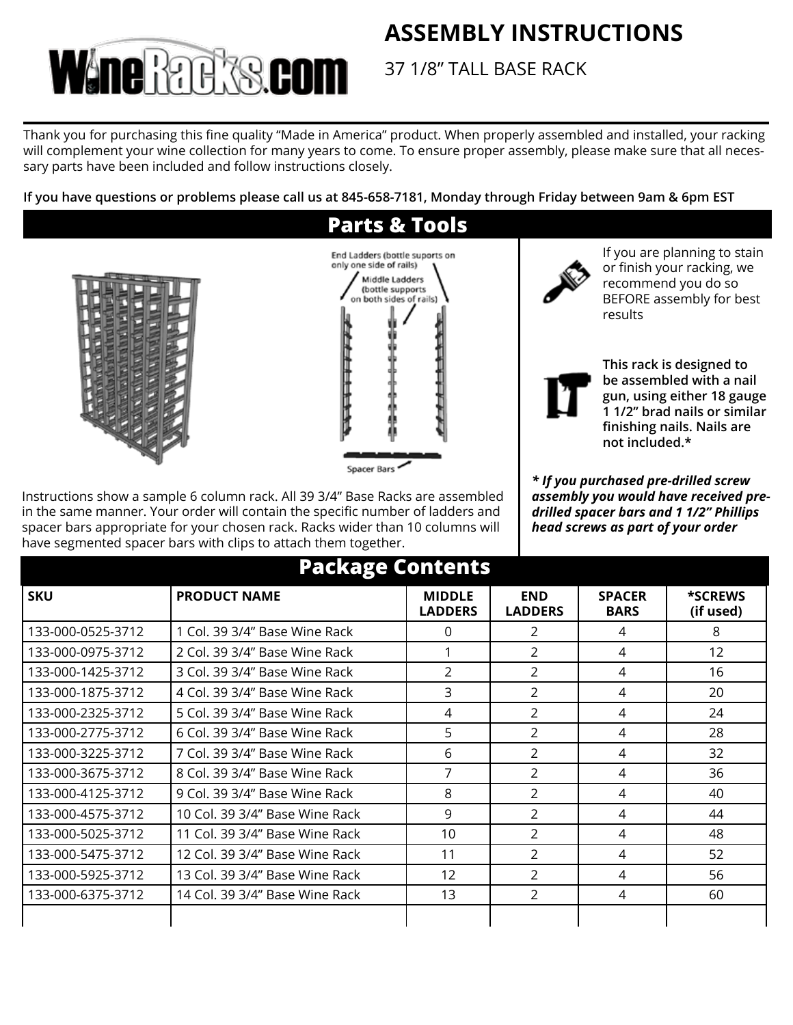# **ASSEMBLY INSTRUCTIONS**



37 1/8" TALL BASE RACK

Thank you for purchasing this fine quality "Made in America" product. When properly assembled and installed, your racking will complement your wine collection for many years to come. To ensure proper assembly, please make sure that all necessary parts have been included and follow instructions closely.

**If you have questions or problems please call us at 845-658-7181, Monday through Friday between 9am & 6pm EST**



Instructions show a sample 6 column rack. All 39 3/4" Base Racks are assembled in the same manner. Your order will contain the specific number of ladders and spacer bars appropriate for your chosen rack. Racks wider than 10 columns will have segmented spacer bars with clips to attach them together.

If you are planning to stain or finish your racking, we recommend you do so BEFORE assembly for best results



**This rack is designed to be assembled with a nail gun, using either 18 gauge 1 1/2" brad nails or similar finishing nails. Nails are not included.\***

*\* If you purchased pre-drilled screw assembly you would have received predrilled spacer bars and 1 1/2" Phillips head screws as part of your order*

| <b>Package Contents</b> |                                |                                 |                              |                              |                             |
|-------------------------|--------------------------------|---------------------------------|------------------------------|------------------------------|-----------------------------|
| <b>SKU</b>              | <b>PRODUCT NAME</b>            | <b>MIDDLE</b><br><b>LADDERS</b> | <b>END</b><br><b>LADDERS</b> | <b>SPACER</b><br><b>BARS</b> | <b>*SCREWS</b><br>(if used) |
| 133-000-0525-3712       | 1 Col. 39 3/4" Base Wine Rack  | 0                               | $\mathcal{P}$                | 4                            | 8                           |
| 133-000-0975-3712       | 2 Col. 39 3/4" Base Wine Rack  |                                 | $\mathfrak{D}$               | 4                            | 12                          |
| 133-000-1425-3712       | 3 Col. 39 3/4" Base Wine Rack  | 2                               | 2                            | 4                            | 16                          |
| 133-000-1875-3712       | 4 Col. 39 3/4" Base Wine Rack  | 3                               | $\mathfrak{D}$               | 4                            | 20                          |
| 133-000-2325-3712       | 5 Col. 39 3/4" Base Wine Rack  | 4                               | $\mathfrak{D}$               | 4                            | 24                          |
| 133-000-2775-3712       | 6 Col. 39 3/4" Base Wine Rack  | 5                               | 2                            | 4                            | 28                          |
| 133-000-3225-3712       | 7 Col. 39 3/4" Base Wine Rack  | 6                               | $\mathcal{P}$                | 4                            | 32                          |
| 133-000-3675-3712       | 8 Col. 39 3/4" Base Wine Rack  | 7                               | $\mathcal{P}$                | 4                            | 36                          |
| 133-000-4125-3712       | 9 Col. 39 3/4" Base Wine Rack  | 8                               | 2                            | 4                            | 40                          |
| 133-000-4575-3712       | 10 Col. 39 3/4" Base Wine Rack | 9                               | 2                            | 4                            | 44                          |
| 133-000-5025-3712       | 11 Col. 39 3/4" Base Wine Rack | 10 <sup>°</sup>                 | $\mathcal{P}$                | 4                            | 48                          |
| 133-000-5475-3712       | 12 Col. 39 3/4" Base Wine Rack | 11                              | $\overline{2}$               | 4                            | 52                          |
| 133-000-5925-3712       | 13 Col. 39 3/4" Base Wine Rack | 12                              | $\mathcal{P}$                | 4                            | 56                          |
| 133-000-6375-3712       | 14 Col. 39 3/4" Base Wine Rack | 13                              | $\mathcal{P}$                | 4                            | 60                          |
|                         |                                |                                 |                              |                              |                             |